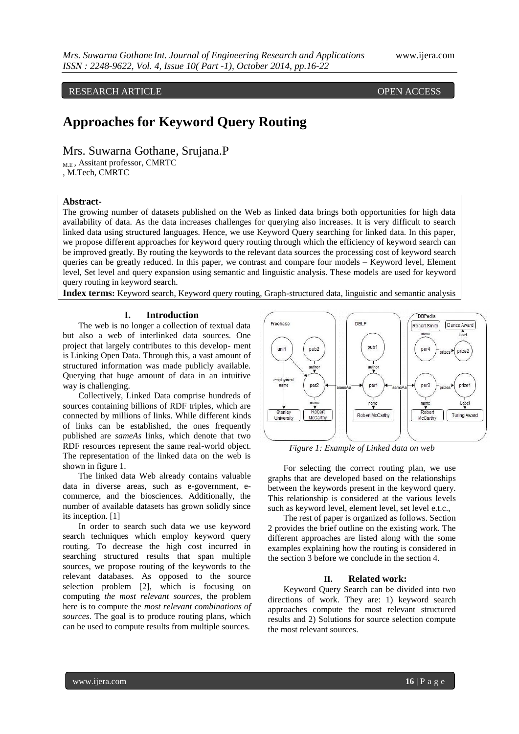RESEARCH ARTICLE **CONSERVERS** OPEN ACCESS

# **Approaches for Keyword Query Routing**

Mrs. Suwarna Gothane, Srujana.P

M.E , Assitant professor, CMRTC

, M.Tech, CMRTC

# **Abstract-**

The growing number of datasets published on the Web as linked data brings both opportunities for high data availability of data. As the data increases challenges for querying also increases. It is very difficult to search linked data using structured languages. Hence, we use Keyword Query searching for linked data. In this paper, we propose different approaches for keyword query routing through which the efficiency of keyword search can be improved greatly. By routing the keywords to the relevant data sources the processing cost of keyword search queries can be greatly reduced. In this paper, we contrast and compare four models – Keyword level, Element level, Set level and query expansion using semantic and linguistic analysis. These models are used for keyword query routing in keyword search.

**Index terms:** Keyword search, Keyword query routing, Graph-structured data, linguistic and semantic analysis

# **I. Introduction**

The web is no longer a collection of textual data but also a web of interlinked data sources. One project that largely contributes to this develop- ment is Linking Open Data. Through this, a vast amount of structured information was made publicly available. Querying that huge amount of data in an intuitive way is challenging.

Collectively, Linked Data comprise hundreds of sources containing billions of RDF triples, which are connected by millions of links. While different kinds of links can be established, the ones frequently published are *sameAs* links, which denote that two RDF resources represent the same real-world object. The representation of the linked data on the web is shown in figure 1.

The linked data Web already contains valuable data in diverse areas, such as e-government, ecommerce, and the biosciences. Additionally, the number of available datasets has grown solidly since its inception. [1]

In order to search such data we use keyword search techniques which employ keyword query routing. To decrease the high cost incurred in searching structured results that span multiple sources, we propose routing of the keywords to the relevant databases. As opposed to the source selection problem [2], which is focusing on computing *the most relevant sources*, the problem here is to compute the *most relevant combinations of sources*. The goal is to produce routing plans, which can be used to compute results from multiple sources.



*Figure 1: Example of Linked data on web*

For selecting the correct routing plan, we use graphs that are developed based on the relationships between the keywords present in the keyword query. This relationship is considered at the various levels such as keyword level, element level, set level e.t.c.,

The rest of paper is organized as follows. Section 2 provides the brief outline on the existing work. The different approaches are listed along with the some examples explaining how the routing is considered in the section 3 before we conclude in the section 4.

# **II. Related work:**

Keyword Query Search can be divided into two directions of work. They are: 1) keyword search approaches compute the most relevant structured results and 2) Solutions for source selection compute the most relevant sources.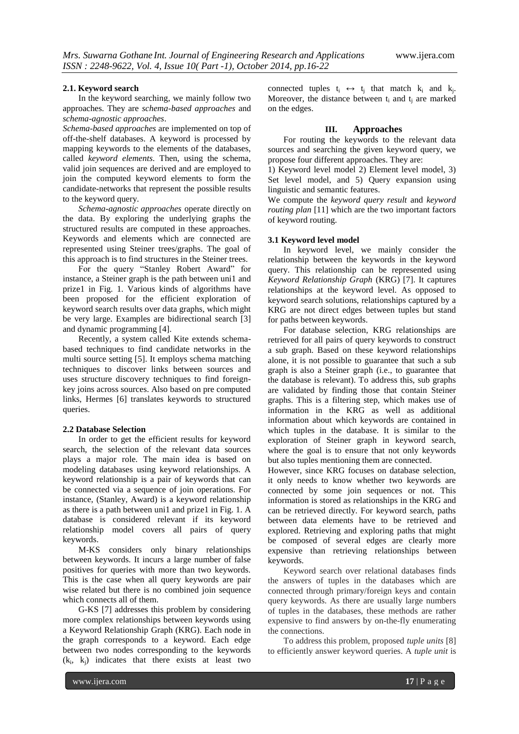### **2.1. Keyword search**

In the keyword searching, we mainly follow two approaches. They are *schema-based approaches* and *schema-agnostic approaches*.

*Schema-based approaches* are implemented on top of off-the-shelf databases. A keyword is processed by mapping keywords to the elements of the databases, called *keyword elements*. Then, using the schema, valid join sequences are derived and are employed to join the computed keyword elements to form the candidate-networks that represent the possible results to the keyword query.

*Schema-agnostic approaches* operate directly on the data. By exploring the underlying graphs the structured results are computed in these approaches. Keywords and elements which are connected are represented using Steiner trees/graphs. The goal of this approach is to find structures in the Steiner trees.

For the query "Stanley Robert Award" for instance, a Steiner graph is the path between uni1 and prize1 in Fig. 1. Various kinds of algorithms have been proposed for the efficient exploration of keyword search results over data graphs, which might be very large. Examples are bidirectional search [3] and dynamic programming [4].

Recently, a system called Kite extends schemabased techniques to find candidate networks in the multi source setting [5]. It employs schema matching techniques to discover links between sources and uses structure discovery techniques to find foreignkey joins across sources. Also based on pre computed links, Hermes [6] translates keywords to structured queries.

#### **2.2 Database Selection**

In order to get the efficient results for keyword search, the selection of the relevant data sources plays a major role. The main idea is based on modeling databases using keyword relationships. A keyword relationship is a pair of keywords that can be connected via a sequence of join operations. For instance, (Stanley, Award) is a keyword relationship as there is a path between uni1 and prize1 in Fig. 1. A database is considered relevant if its keyword relationship model covers all pairs of query keywords.

M-KS considers only binary relationships between keywords. It incurs a large number of false positives for queries with more than two keywords. This is the case when all query keywords are pair wise related but there is no combined join sequence which connects all of them.

G-KS [7] addresses this problem by considering more complex relationships between keywords using a Keyword Relationship Graph (KRG). Each node in the graph corresponds to a keyword. Each edge between two nodes corresponding to the keywords  $(k_i, k_j)$  indicates that there exists at least two

connected tuples  $t_i \leftrightarrow t_j$  that match  $k_i$  and  $k_j$ . Moreover, the distance between  $t_i$  and  $t_i$  are marked on the edges.

# **III. Approaches**

For routing the keywords to the relevant data sources and searching the given keyword query, we propose four different approaches. They are:

1) Keyword level model 2) Element level model, 3) Set level model, and 5) Query expansion using linguistic and semantic features.

We compute the *keyword query result* and *keyword routing plan* [11] which are the two important factors of keyword routing.

#### **3.1 Keyword level model**

In keyword level, we mainly consider the relationship between the keywords in the keyword query. This relationship can be represented using *Keyword Relationship Graph* (KRG) [7]. It captures relationships at the keyword level. As opposed to keyword search solutions, relationships captured by a KRG are not direct edges between tuples but stand for paths between keywords.

For database selection, KRG relationships are retrieved for all pairs of query keywords to construct a sub graph. Based on these keyword relationships alone, it is not possible to guarantee that such a sub graph is also a Steiner graph (i.e., to guarantee that the database is relevant). To address this, sub graphs are validated by finding those that contain Steiner graphs. This is a filtering step, which makes use of information in the KRG as well as additional information about which keywords are contained in which tuples in the database. It is similar to the exploration of Steiner graph in keyword search, where the goal is to ensure that not only keywords but also tuples mentioning them are connected.

However, since KRG focuses on database selection, it only needs to know whether two keywords are connected by some join sequences or not. This information is stored as relationships in the KRG and can be retrieved directly. For keyword search, paths between data elements have to be retrieved and explored. Retrieving and exploring paths that might be composed of several edges are clearly more expensive than retrieving relationships between keywords.

Keyword search over relational databases finds the answers of tuples in the databases which are connected through primary/foreign keys and contain query keywords. As there are usually large numbers of tuples in the databases, these methods are rather expensive to find answers by on-the-fly enumerating the connections.

To address this problem, proposed *tuple units* [8] to efficiently answer keyword queries. A *tuple unit* is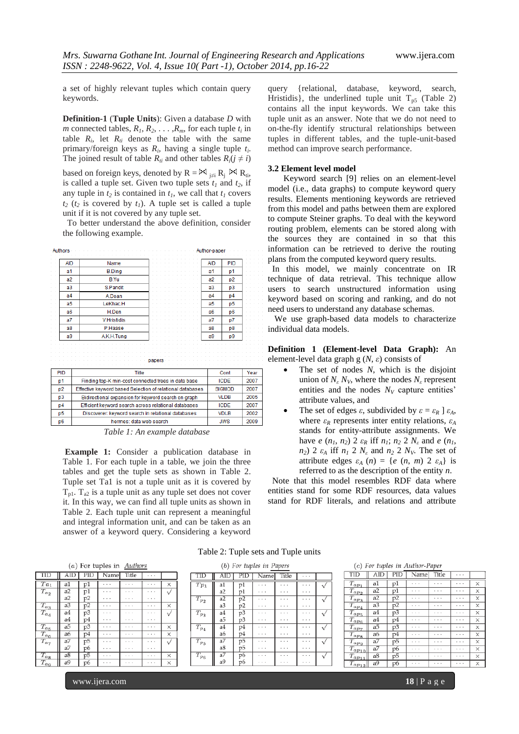query {relational, database, keyword, search, Hristidis}, the underlined tuple unit  $T_{p5}$  (Table 2) contains all the input keywords. We can take this tuple unit as an answer. Note that we do not need to on-the-fly identify structural relationships between tuples in different tables, and the tuple-unit-based

Keyword search [9] relies on an element-level model (i.e., data graphs) to compute keyword query results. Elements mentioning keywords are retrieved from this model and paths between them are explored to compute Steiner graphs. To deal with the keyword routing problem, elements can be stored along with the sources they are contained in so that this information can be retrieved to derive the routing plans from the computed keyword query results. In this model, we mainly concentrate on IR technique of data retrieval. This technique allow users to search unstructured information using keyword based on scoring and ranking, and do not need users to understand any database schemas. We use graph-based data models to characterize

method can improve search performance.

**3.2 Element level model**

individual data models.

a set of highly relevant tuples which contain query keywords.

**Definition-1** (**Tuple Units**): Given a database *D* with *m* connected tables,  $R_1, R_2, \ldots, R_m$ , for each tuple  $t_i$  in table  $R_i$ , let  $R_{ti}$  denote the table with the same primary/foreign keys as  $R_i$ , having a single tuple  $t_i$ . The joined result of table  $R_i$  and other tables  $R_i$  ( $j \neq i$ )

based on foreign keys, denoted by  $R = \mathbb{M}_{i \neq i} R_i \mathbb{M}_{i}$ , is called a tuple set. Given two tuple sets  $t_1$  and  $t_2$ , if any tuple in  $t_2$  is contained in  $t_1$ , we call that  $t_1$  covers  $t_2$  ( $t_2$  is covered by  $t_1$ ). A tuple set is called a tuple unit if it is not covered by any tuple set.

 To better understand the above definition, consider the following example.

| Authors        | Author-paper                                              |                |                |      |
|----------------|-----------------------------------------------------------|----------------|----------------|------|
| <b>AID</b>     | Name                                                      | <b>AID</b>     | PID            |      |
| a <sub>1</sub> | <b>B.Ding</b>                                             | a <sub>1</sub> | p1             |      |
| a2             | <b>B.Yu</b>                                               | a2             | p2             |      |
| a <sub>3</sub> | S.Pandit                                                  | a3             | D <sub>3</sub> |      |
| a <sub>4</sub> | A.Doan                                                    | a <sub>4</sub> | D <sub>4</sub> |      |
| a5             | LeKhac.H                                                  | a5             | p <sub>5</sub> |      |
| a6             | H.Den                                                     | a6             | p6             |      |
| a7             | <b>V.Hristidis</b>                                        | a7             | p7             |      |
| a8             | P.Haase                                                   | a8             | p8             |      |
| a9             | A.K.H.Tung                                                | a9             | p <sub>9</sub> |      |
|                | papers                                                    |                |                |      |
| PID            | <b>Title</b>                                              |                | Cont           | Year |
| p1             | Finding top-K min-cost connected trees in data base       |                | <b>ICDE</b>    |      |
| p2             | Effective keyword based Selection of relational databases |                | <b>SIGMOD</b>  |      |
| p3             | Bidirectional expansion for keyword search on graph       |                | <b>VLDB</b>    |      |
| p4             | Efficient keyword search across relational databases      |                | <b>ICDE</b>    | 2007 |
| p <sub>5</sub> | Discoverer: keyword search in relational databases        |                | <b>VDLB</b>    | 2002 |
| p6             | hermes: data web search                                   |                | <b>JWS</b>     | 2009 |

*Table 1: An example database*

**Example 1:** Consider a publication database in Table 1. For each tuple in a table, we join the three tables and get the tuple sets as shown in Table 2. Tuple set Ta1 is not a tuple unit as it is covered by  $T_{p1}$ .  $T_{a2}$  is a tuple unit as any tuple set does not cover it. In this way, we can find all tuple units as shown in Table 2. Each tuple unit can represent a meaningful and integral information unit, and can be taken as an answer of a keyword query. Considering a keyword

referred to as the description of the entity *n*.

 Note that this model resembles RDF data where entities stand for some RDF resources, data values stand for RDF literals, and relations and attribute

**Definition 1 (Element-level Data Graph):** An

 The set of nodes *N*, which is the disjoint union of  $N_{\varepsilon} N_V$ , where the nodes  $N_{\varepsilon}$  represent entities and the nodes  $N_V$  capture entities'

The set of edges  $\varepsilon$ , subdivided by  $\varepsilon = \varepsilon_R$   $\varepsilon_A$ , where  $\varepsilon_R$  represents inter entity relations,  $\varepsilon_A$ stands for entity-attribute assignments. We have *e*  $(n_1, n_2)$  2  $\varepsilon_R$  iff  $n_1$ ;  $n_2$  2  $N_{\varepsilon}$  and *e*  $(n_1, n_2)$ *n*<sub>2</sub>) 2  $ε_A$  iff  $n_I$  2  $N_e$  and  $n_2$  2  $N_v$ . The set of attribute edges  $\varepsilon_A$  (*n*) = {*e* (*n*, *m*) 2  $\varepsilon_A$ } is

element-level data graph g (*N*, *ε*) consists of

attribute values, and

|  |  |  | (a) For tuples in $\Delta$ uthors |  |
|--|--|--|-----------------------------------|--|
|--|--|--|-----------------------------------|--|

| TID                    | AID            | PID | Name                 | Title      | $\cdots$   |   |
|------------------------|----------------|-----|----------------------|------------|------------|---|
| $Ta_1$                 | a1             | p1  |                      | $\sim$     |            | × |
| $T_{a_2}$              | a2             | p1  | . .                  | $\sim$     |            |   |
|                        | a2             | p2  | .                    | .          | .          |   |
| $T_{a_3}$              | a3             | p2  | <b>A</b> 10          | <b>A A</b> | . .        | × |
| $\overline{T}_{a_{4}}$ | a4             | p3  | <b>A A</b>           | .          | <b>A A</b> |   |
|                        | a4             | p4  |                      |            |            |   |
| $T_{a_{5}}$            | a5             | p3  | .                    | .          | .          | × |
| $T_{a_6}$              | a6             | p4  | $\sim$               | $\cdots$   | <b>A A</b> | × |
| $\overline{T}_{a_{7}}$ | a <sub>7</sub> | p5  | .                    | .          | .          |   |
|                        | a7             | p6  | $\ddot{\phantom{1}}$ | $\cdots$   | $\cdots$   |   |
| $T_{a_8}$              | a8             | р5  | .                    | $\cdots$   | $\cdots$   | X |
| $\overline{T}_{ag}$    | a9             | р6  | $\sim$               | $\sim$     | $\sim$     | × |

Table 2: Tuple sets and Tuple units

|  |  |  | (b) For tuples in Papers |  |  |
|--|--|--|--------------------------|--|--|
|--|--|--|--------------------------|--|--|

| TID                    | ID             | PID | Name                 | Title    | $\sim$          |  |  |  |
|------------------------|----------------|-----|----------------------|----------|-----------------|--|--|--|
| $Tp_1$                 | a1             | p1  | . .                  | $\cdots$ | $\cdots$        |  |  |  |
|                        | a2             | p1  | $\cdots$<br>٠        | .        | $\cdots$        |  |  |  |
| $T_{p_2}$              | a2             | p2  | $\ddot{\phantom{1}}$ | . .      | ÷<br>٠          |  |  |  |
|                        | a3             | p2  | . .                  | . .      | 18              |  |  |  |
| $T_{p_3}$              | a <sub>4</sub> | p3  | $\ddot{\phantom{1}}$ | . .      | $\bullet$<br>٠. |  |  |  |
|                        | a5             | p3  | .                    | $\cdots$ | $\cdots$        |  |  |  |
| $T_{p_4}$              | a4             | p4  | . .                  |          |                 |  |  |  |
|                        | a6             | p4  | $\cdots$             | . .      | ×               |  |  |  |
| $\overline{T}_{p_{5}}$ | a7             | p5  | $\ddot{\phantom{1}}$ | $-$      |                 |  |  |  |
|                        | a8             | p5  | $\sim$<br>٠          | $\cdots$ | . .<br>٠        |  |  |  |
| $T_{p_6}$              | a7             | p6  | . .                  | . .      | - 1             |  |  |  |
|                        | a9             | р6  | . .                  |          |                 |  |  |  |

| $(c)$ For tuples in Author-Paper |  |  |  |
|----------------------------------|--|--|--|
|----------------------------------|--|--|--|

| $1 - 1$<br>TID                   | AID            | PID            | Name     | Title    | .             |          |
|----------------------------------|----------------|----------------|----------|----------|---------------|----------|
| $T_{a\underline{p}\underbar{1}}$ | a1             | p1             | $\cdots$ | $\cdots$ | $\cdots$      | ×        |
| $T_{ap2}$                        | a2             | p1             | .        | .        | .             | ×        |
| $T_{ap3}$                        | a2             | p <sub>2</sub> | .        | .        | $\cdots$<br>٠ | ×        |
| $T_{ap_4}$                       | a3             | p2             | $\cdots$ | $\cdots$ | $\cdots$      | ×        |
| $T_{ap5}$                        | a4             | p3             | $\cdots$ | $\cdots$ | .             | $\times$ |
| $T_{ap6}$                        | a4             | p4             | .        | .        | .             | $\times$ |
| $T_{ap7}$                        | a <sub>5</sub> | p3             | $\cdots$ | $\cdots$ | $\cdots$      | ×        |
| $T_{apg}$                        | aб             | p4             | $\cdots$ | .        | .             | ×        |
| $T_{apg}$                        | a7             | p5             | .        | .        | .             | ×        |
| $T_{ap_{10}}$                    | a7             | p6             | $\cdots$ | .        | .             | ×        |
| $T_{ap_{11}}$                    | a8             | р5             | $\cdots$ | $\cdots$ | $\cdots$      | ×        |
| $T_{ap_{12}}$                    | a9             | p6             | $\cdots$ | $\cdots$ | $\cdots$      | ×        |

www.ijera.com **18** | P a g e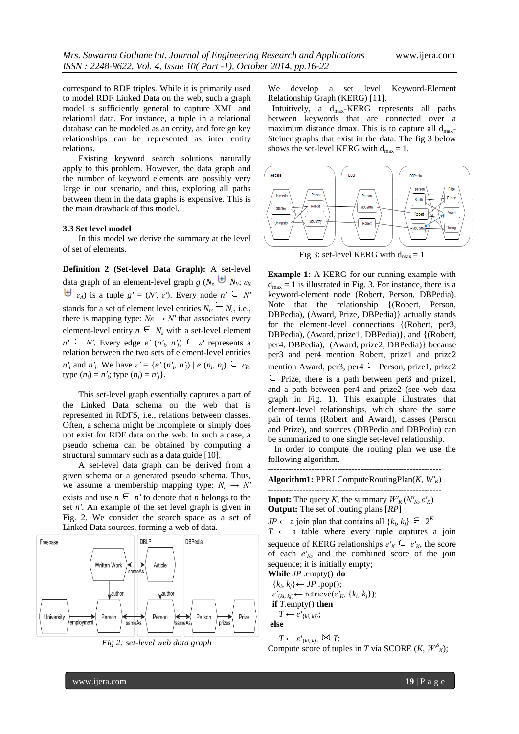correspond to RDF triples. While it is primarily used to model RDF Linked Data on the web, such a graph model is sufficiently general to capture XML and relational data. For instance, a tuple in a relational database can be modeled as an entity, and foreign key relationships can be represented as inter entity relations.

Existing keyword search solutions naturally apply to this problem. However, the data graph and the number of keyword elements are possibly very large in our scenario, and thus, exploring all paths between them in the data graphs is expensive. This is the main drawback of this model.

## **3.3 Set level model**

In this model we derive the summary at the level of set of elements.

**Definition 2 (Set-level Data Graph):** A set-level data graph of an element-level graph *g*  $(N_{\rm s} \oplus N_{\rm v}; \varepsilon_R)$  $\forall \theta \in \mathcal{E}_A$  is a tuple  $g' = (N', \varepsilon')$ . Every node  $n' \in N'$ stands for a set of element level entities  $N_n' = N_{\epsilon}$ , i.e., there is mapping type:  $N\varepsilon \rightarrow N'$  that associates every element-level entity  $n \in N_e$  with a set-level element  $n' \in N'$ . Every edge  $e'(n'_i, n'_j) \in \varepsilon'$  represents a relation between the two sets of element-level entities *n'*<sub>*i*</sub> and *n'*<sub>*j*</sub>. We have  $\varepsilon' = \{e'(n'_i, n'_j) \mid e(n_i, n_j) \in \varepsilon_R,$  $type (n_i) = n'_i; type (n_j) = n'_j.$ 

This set-level graph essentially captures a part of the Linked Data schema on the web that is represented in RDFS, i.e., relations between classes. Often, a schema might be incomplete or simply does not exist for RDF data on the web. In such a case, a pseudo schema can be obtained by computing a structural summary such as a data guide [10].

A set-level data graph can be derived from a given schema or a generated pseudo schema. Thus, we assume a membership mapping type:  $N_{\varepsilon} \to N'$ exists and use  $n \in n'$  to denote that *n* belongs to the set *n′*. An example of the set level graph is given in Fig. 2. We consider the search space as a set of Linked Data sources, forming a web of data.





We develop a set level Keyword-Element Relationship Graph (KERG) [11].

 Intuitively, a dmax-KERG represents all paths between keywords that are connected over a maximum distance dmax. This is to capture all  $d_{\text{max}}$ -Steiner graphs that exist in the data. The fig 3 below shows the set-level KERG with  $d_{max} = 1$ .



Fig 3: set-level KERG with  $d_{\text{max}} = 1$ 

**Example 1**: A KERG for our running example with  $d_{\text{max}} = 1$  is illustrated in Fig. 3. For instance, there is a keyword-element node (Robert, Person, DBPedia). Note that the relationship {(Robert, Person, DBPedia), (Award, Prize, DBPedia)} actually stands for the element-level connections {(Robert, per3, DBPedia), (Award, prize1, DBPedia)}, and {(Robert, per4, DBPedia), (Award, prize2, DBPedia)} because per3 and per4 mention Robert, prize1 and prize2 mention Award, per3, per4  $\in$  Person, prize1, prize2  $\epsilon$  Prize, there is a path between per3 and prize1. and a path between per4 and prize2 (see web data graph in Fig. 1). This example illustrates that element-level relationships, which share the same pair of terms (Robert and Award), classes (Person and Prize), and sources (DBPedia and DBPedia) can be summarized to one single set-level relationship.

 In order to compute the routing plan we use the following algorithm.

------------------------------------------------------------ **Algorithm1:** PPRJ ComputeRoutingPlan(*K*, *W′K*)

------------------------------------------------------------ **Input:** The query *K*, the summary  $W'_{K}(N'_{K}, \varepsilon'_{K})$ **Output:** The set of routing plans [*RP*]

*JP* ← a join plan that contains all  $\{k_i, k_j\} \subseteq 2^k$  $T \leftarrow$  a table where every tuple captures a join sequence of KERG relationships  $e'_{K} \in e'_{K}$ , the score of each  $e'_{K}$ , and the combined score of the join sequence; it is initially empty;

**While** *JP* .empty() **do**  ${k_i, k_j}$  ← *JP* .pop();  $\varepsilon'_{\{ki, kj\}} \leftarrow \text{retrieve}(\varepsilon'_{K}, \{k_i, k_j\});$  **if** *T*.empty() **then**  $T \leftarrow \varepsilon'_{\{ki, kj\}};$ **else**

$$
T \leftarrow \varepsilon'_{\{ki,\,kj\}} \bowtie T;
$$

Compute score of tuples in *T* via SCORE  $(K, W^S)_K$ ;

www.ijera.com **19** | P a g e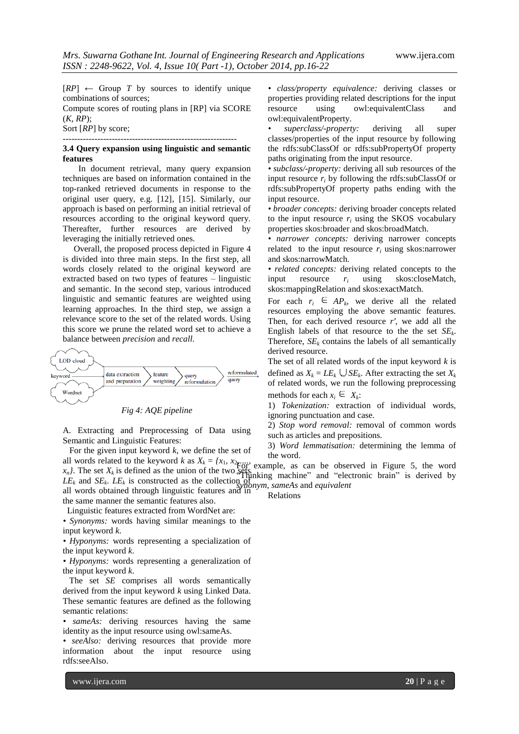$[RP] \leftarrow$  Group *T* by sources to identify unique combinations of sources;

Compute scores of routing plans in [RP] via SCORE (*K*, *RP*);

Sort [*RP*] by score; ------------------------------------------------------------

# **3.4 Query expansion using linguistic and semantic features**

In document retrieval, many query expansion techniques are based on information contained in the top-ranked retrieved documents in response to the original user query, e.g. [12], [15]. Similarly, our approach is based on performing an initial retrieval of resources according to the original keyword query. Thereafter, further resources are derived by leveraging the initially retrieved ones.

 Overall, the proposed process depicted in Figure 4 is divided into three main steps. In the first step, all words closely related to the original keyword are extracted based on two types of features – linguistic and semantic. In the second step, various introduced linguistic and semantic features are weighted using learning approaches. In the third step, we assign a relevance score to the set of the related words. Using this score we prune the related word set to achieve a balance between *precision* and *recall*.



## *Fig 4: AQE pipeline*

A. Extracting and Preprocessing of Data using Semantic and Linguistic Features:

 For the given input keyword *k*, we define the set of all words related to the keyword *k* as  $X_k = \{x_1, x_2, \ldots, x_n\}$ 

 $x_n$ . The set  $X_k$  is defined as the union of the two sets.  $LE_k$  and  $SE_k$ .  $LE_k$  is constructed as the collection of

all words obtained through linguistic features and in the same manner the semantic features also.

Linguistic features extracted from WordNet are:

*• Synonyms:* words having similar meanings to the input keyword *k*.

*• Hyponyms:* words representing a specialization of the input keyword *k*.

*• Hyponyms:* words representing a generalization of the input keyword *k*.

 The set *SE* comprises all words semantically derived from the input keyword *k* using Linked Data. These semantic features are defined as the following semantic relations:

*• sameAs:* deriving resources having the same identity as the input resource using owl:sameAs.

*• seeAlso:* deriving resources that provide more information about the input resource using rdfs:seeAlso.

*• class/property equivalence:* deriving classes or properties providing related descriptions for the input resource using owl:equivalentClass and owl:equivalentProperty.

*• superclass/-property:* deriving all super classes/properties of the input resource by following the rdfs:subClassOf or rdfs:subPropertyOf property paths originating from the input resource.

• *subclass/-property:* deriving all sub resources of the input resource  $r_i$  by following the rdfs:subClassOf or rdfs:subPropertyOf property paths ending with the input resource.

*• broader concepts:* deriving broader concepts related to the input resource  $r_i$  using the SKOS vocabulary properties skos:broader and skos:broadMatch.

*• narrower concepts:* deriving narrower concepts related to the input resource  $r_i$  using skos:narrower and skos:narrowMatch.

• *related concepts:* deriving related concepts to the input resource *r<sup>i</sup>* using skos:closeMatch, skos:mappingRelation and skos:exactMatch.

For each  $r_i \in AP_k$ , we derive all the related resources employing the above semantic features. Then, for each derived resource *r′*, we add all the English labels of that resource to the the set *SE<sup>k</sup>* . Therefore,  $SE<sub>k</sub>$  contains the labels of all semantically derived resource.

The set of all related words of the input keyword *k* is defined as  $X_k = LE_k \cup SE_k$ . After extracting the set  $X_k$ of related words, we run the following preprocessing methods for each  $x_i \in X_k$ :

1) *Tokenization:* extraction of individual words, ignoring punctuation and case.

2) *Stop word removal:* removal of common words such as articles and prepositions.

3) *Word lemmatisation:* determining the lemma of the word.

For example, as can be observed in Figure 5, the word "Thinking machine" and "electronic brain" is derived by *synonym*, *sameAs* and *equivalent*

Relations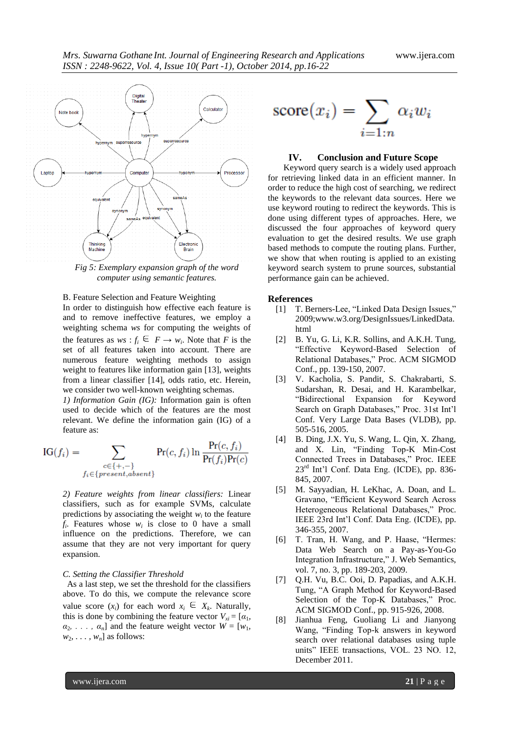

*Fig 5: Exemplary expansion graph of the word computer using semantic features.*

B. Feature Selection and Feature Weighting

In order to distinguish how effective each feature is and to remove ineffective features, we employ a weighting schema *ws* for computing the weights of the features as  $ws : f_i \in F \to w_i$ . Note that *F* is the set of all features taken into account. There are numerous feature weighting methods to assign weight to features like information gain [13], weights from a linear classifier [14], odds ratio, etc. Herein, we consider two well-known weighting schemas.

*1) Information Gain (IG):* Information gain is often used to decide which of the features are the most relevant. We define the information gain (IG) of a feature as:

$$
IG(f_i) = \sum_{\substack{c \in \{+, -\} \\ f_i \in \{present, absent\}}} Pr(c, f_i) \ln \frac{Pr(c, f_i)}{Pr(f_i)Pr(c)}
$$

*2) Feature weights from linear classifiers:* Linear classifiers, such as for example SVMs, calculate predictions by associating the weight  $w_i$  to the feature  $f_i$ . Features whose  $w_i$  is close to 0 have a small influence on the predictions. Therefore, we can assume that they are not very important for query expansion.

## *C. Setting the Classifier Threshold*

 As a last step, we set the threshold for the classifiers above. To do this, we compute the relevance score value score  $(x_i)$  for each word  $x_i \in X_k$ . Naturally, this is done by combining the feature vector  $V_{xi} = [\alpha_1, \alpha_2]$  $\alpha_2, \ldots, \alpha_n$ ] and the feature weight vector  $W = [w_1, \ldots, w_n]$  $w_2, \ldots, w_n$  as follows:

$$
score(x_i) = \sum_{i=1:n} \alpha_i w_i
$$

## **IV. Conclusion and Future Scope**

Keyword query search is a widely used approach for retrieving linked data in an efficient manner. In order to reduce the high cost of searching, we redirect the keywords to the relevant data sources. Here we use keyword routing to redirect the keywords. This is done using different types of approaches. Here, we discussed the four approaches of keyword query evaluation to get the desired results. We use graph based methods to compute the routing plans. Further, we show that when routing is applied to an existing keyword search system to prune sources, substantial performance gain can be achieved.

## **References**

- [1] T. Berners-Lee, "Linked Data Design Issues," 2009;www.w3.org/DesignIssues/LinkedData. html
- [2] B. Yu, G. Li, K.R. Sollins, and A.K.H. Tung, "Effective Keyword-Based Selection of Relational Databases," Proc. ACM SIGMOD Conf., pp. 139-150, 2007.
- [3] V. Kacholia, S. Pandit, S. Chakrabarti, S. Sudarshan, R. Desai, and H. Karambelkar, "Bidirectional Expansion for Keyword Search on Graph Databases," Proc. 31st Int'l Conf. Very Large Data Bases (VLDB), pp. 505-516, 2005.
- [4] B. Ding, J.X. Yu, S. Wang, L. Qin, X. Zhang, and X. Lin, "Finding Top-K Min-Cost Connected Trees in Databases," Proc. IEEE 23<sup>rd</sup> Int'l Conf. Data Eng. (ICDE), pp. 836-845, 2007.
- [5] M. Sayyadian, H. LeKhac, A. Doan, and L. Gravano, "Efficient Keyword Search Across Heterogeneous Relational Databases," Proc. IEEE 23rd Int'l Conf. Data Eng. (ICDE), pp. 346-355, 2007.
- [6] T. Tran, H. Wang, and P. Haase, "Hermes: Data Web Search on a Pay-as-You-Go Integration Infrastructure," J. Web Semantics, vol. 7, no. 3, pp. 189-203, 2009.
- [7] Q.H. Vu, B.C. Ooi, D. Papadias, and A.K.H. Tung, "A Graph Method for Keyword-Based Selection of the Top-K Databases." Proc. ACM SIGMOD Conf., pp. 915-926, 2008.
- [8] Jianhua Feng, Guoliang Li and Jianyong Wang, "Finding Top-k answers in keyword search over relational databases using tuple units" IEEE transactions, VOL. 23 NO. 12, December 2011.